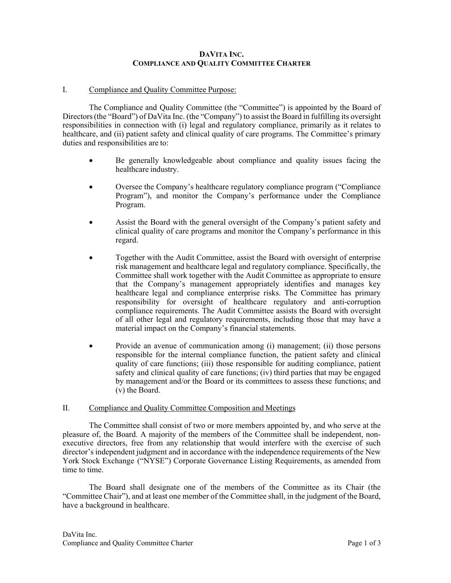### **DAVITA INC. COMPLIANCE AND QUALITY COMMITTEE CHARTER**

### I. Compliance and Quality Committee Purpose:

The Compliance and Quality Committee (the "Committee") is appointed by the Board of Directors (the "Board") of DaVita Inc. (the "Company") to assist the Board in fulfilling its oversight responsibilities in connection with (i) legal and regulatory compliance, primarily as it relates to healthcare, and (ii) patient safety and clinical quality of care programs. The Committee's primary duties and responsibilities are to:

- Be generally knowledgeable about compliance and quality issues facing the healthcare industry.
- Oversee the Company's healthcare regulatory compliance program ("Compliance Program"), and monitor the Company's performance under the Compliance Program.
- Assist the Board with the general oversight of the Company's patient safety and clinical quality of care programs and monitor the Company's performance in this regard.
- Together with the Audit Committee, assist the Board with oversight of enterprise risk management and healthcare legal and regulatory compliance. Specifically, the Committee shall work together with the Audit Committee as appropriate to ensure that the Company's management appropriately identifies and manages key healthcare legal and compliance enterprise risks. The Committee has primary responsibility for oversight of healthcare regulatory and anti-corruption compliance requirements. The Audit Committee assists the Board with oversight of all other legal and regulatory requirements, including those that may have a material impact on the Company's financial statements.
- Provide an avenue of communication among (i) management; (ii) those persons responsible for the internal compliance function, the patient safety and clinical quality of care functions; (iii) those responsible for auditing compliance, patient safety and clinical quality of care functions; (iv) third parties that may be engaged by management and/or the Board or its committees to assess these functions; and (v) the Board.

#### II. Compliance and Quality Committee Composition and Meetings

The Committee shall consist of two or more members appointed by, and who serve at the pleasure of, the Board. A majority of the members of the Committee shall be independent, nonexecutive directors, free from any relationship that would interfere with the exercise of such director's independent judgment and in accordance with the independence requirements of the New York Stock Exchange ("NYSE") Corporate Governance Listing Requirements, as amended from time to time.

The Board shall designate one of the members of the Committee as its Chair (the "Committee Chair"), and at least one member of the Committee shall, in the judgment of the Board, have a background in healthcare.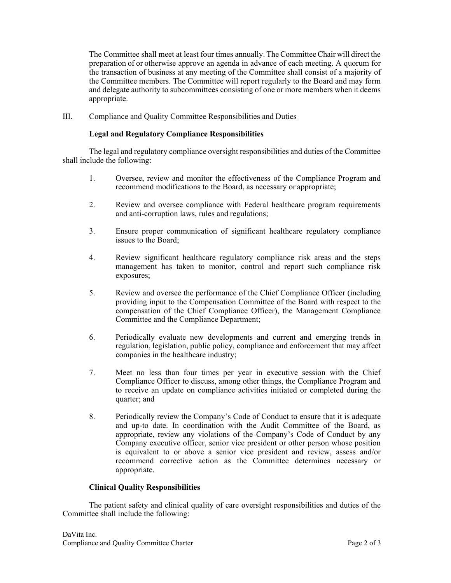The Committee shall meet at least four times annually. The Committee Chair will direct the preparation of or otherwise approve an agenda in advance of each meeting. A quorum for the transaction of business at any meeting of the Committee shall consist of a majority of the Committee members. The Committee will report regularly to the Board and may form and delegate authority to subcommittees consisting of one or more members when it deems appropriate.

# III. Compliance and Quality Committee Responsibilities and Duties

# **Legal and Regulatory Compliance Responsibilities**

The legal and regulatory compliance oversight responsibilities and duties of the Committee shall include the following:

- 1. Oversee, review and monitor the effectiveness of the Compliance Program and recommend modifications to the Board, as necessary or appropriate;
- 2. Review and oversee compliance with Federal healthcare program requirements and anti-corruption laws, rules and regulations;
- 3. Ensure proper communication of significant healthcare regulatory compliance issues to the Board;
- 4. Review significant healthcare regulatory compliance risk areas and the steps management has taken to monitor, control and report such compliance risk exposures;
- 5. Review and oversee the performance of the Chief Compliance Officer (including providing input to the Compensation Committee of the Board with respect to the compensation of the Chief Compliance Officer), the Management Compliance Committee and the Compliance Department;
- 6. Periodically evaluate new developments and current and emerging trends in regulation, legislation, public policy, compliance and enforcement that may affect companies in the healthcare industry;
- 7. Meet no less than four times per year in executive session with the Chief Compliance Officer to discuss, among other things, the Compliance Program and to receive an update on compliance activities initiated or completed during the quarter; and
- 8. Periodically review the Company's Code of Conduct to ensure that it is adequate and up-to date. In coordination with the Audit Committee of the Board, as appropriate, review any violations of the Company's Code of Conduct by any Company executive officer, senior vice president or other person whose position is equivalent to or above a senior vice president and review, assess and/or recommend corrective action as the Committee determines necessary or appropriate.

## **Clinical Quality Responsibilities**

The patient safety and clinical quality of care oversight responsibilities and duties of the Committee shall include the following: